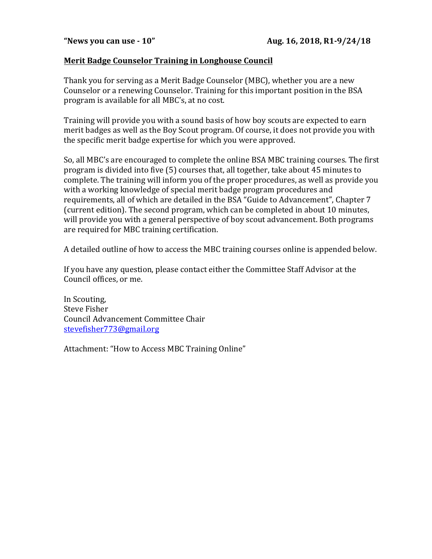## **Merit Badge Counselor Training in Longhouse Council**

Thank you for serving as a Merit Badge Counselor (MBC), whether you are a new Counselor or a renewing Counselor. Training for this important position in the BSA program is available for all MBC's, at no cost.

Training will provide you with a sound basis of how boy scouts are expected to earn merit badges as well as the Boy Scout program. Of course, it does not provide you with the specific merit badge expertise for which you were approved.

So, all MBC's are encouraged to complete the online BSA MBC training courses. The first program is divided into five (5) courses that, all together, take about 45 minutes to complete. The training will inform you of the proper procedures, as well as provide you with a working knowledge of special merit badge program procedures and requirements, all of which are detailed in the BSA "Guide to Advancement", Chapter 7 (current edition). The second program, which can be completed in about 10 minutes, will provide you with a general perspective of boy scout advancement. Both programs are required for MBC training certification.

A detailed outline of how to access the MBC training courses online is appended below.

If you have any question, please contact either the Committee Staff Advisor at the Council offices, or me.

In Scouting, Steve Fisher Council Advancement Committee Chair stevefisher773@gmail.org

Attachment: "How to Access MBC Training Online"